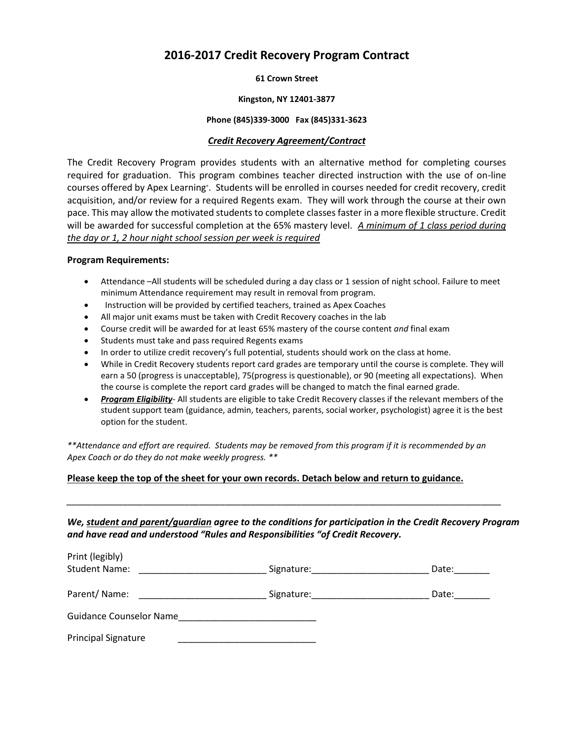# **2016-2017 Credit Recovery Program Contract**

**61 Crown Street**

#### **Kingston, NY 12401-3877**

#### **Phone (845)339-3000 Fax (845)331-3623**

### *Credit Recovery Agreement/Contract*

The Credit Recovery Program provides students with an alternative method for completing courses required for graduation. This program combines teacher directed instruction with the use of on-line courses offered by Apex Learning<sup>®</sup>. Students will be enrolled in courses needed for credit recovery, credit acquisition, and/or review for a required Regents exam. They will work through the course at their own pace. This may allow the motivated students to complete classes faster in a more flexible structure. Credit will be awarded for successful completion at the 65% mastery level. *A minimum of 1 class period during the day or 1, 2 hour night school session per week is required*

#### **Program Requirements:**

- Attendance –All students will be scheduled during a day class or 1 session of night school. Failure to meet minimum Attendance requirement may result in removal from program.
- Instruction will be provided by certified teachers, trained as Apex Coaches
- All major unit exams must be taken with Credit Recovery coaches in the lab
- Course credit will be awarded for at least 65% mastery of the course content *and* final exam
- Students must take and pass required Regents exams
- In order to utilize credit recovery's full potential, students should work on the class at home.
- While in Credit Recovery students report card grades are temporary until the course is complete. They will earn a 50 (progress is unacceptable), 75(progress is questionable), or 90 (meeting all expectations). When the course is complete the report card grades will be changed to match the final earned grade.
- *Program Eligibility* All students are eligible to take Credit Recovery classes if the relevant members of the student support team (guidance, admin, teachers, parents, social worker, psychologist) agree it is the best option for the student.

*\*\*Attendance and effort are required. Students may be removed from this program if it is recommended by an Apex Coach or do they do not make weekly progress. \*\**

#### **Please keep the top of the sheet for your own records. Detach below and return to guidance.**

*We, student and parent/guardian agree to the conditions for participation in the Credit Recovery Program and have read and understood "Rules and Responsibilities "of Credit Recovery.*

*\_\_\_\_\_\_\_\_\_\_\_\_\_\_\_\_\_\_\_\_\_\_\_\_\_\_\_\_\_\_\_\_\_\_\_\_\_\_\_\_\_\_\_\_\_\_\_\_\_\_\_\_\_\_\_\_\_\_\_\_\_\_\_\_\_\_\_\_\_\_\_\_\_\_\_\_\_\_\_\_\_\_\_\_\_*

| Print (legibly)<br><b>Student Name:</b> | Signature: | Date: |
|-----------------------------------------|------------|-------|
|                                         |            |       |
| Parent/Name:                            | Signature: | Date: |
| <b>Guidance Counselor Name</b>          |            |       |
| <b>Principal Signature</b>              |            |       |